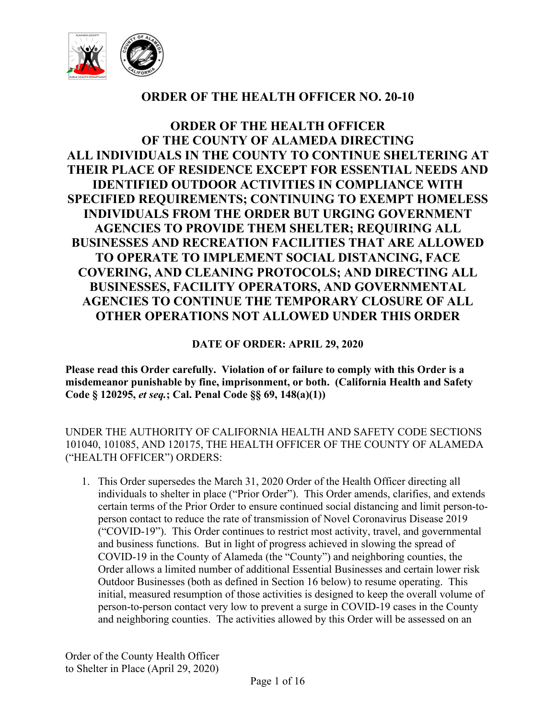

# **ORDER OF THE HEALTH OFFICER NO. 20-10**

**ORDER OF THE HEALTH OFFICER OF THE COUNTY OF ALAMEDA DIRECTING ALL INDIVIDUALS IN THE COUNTY TO CONTINUE SHELTERING AT THEIR PLACE OF RESIDENCE EXCEPT FOR ESSENTIAL NEEDS AND IDENTIFIED OUTDOOR ACTIVITIES IN COMPLIANCE WITH SPECIFIED REQUIREMENTS; CONTINUING TO EXEMPT HOMELESS INDIVIDUALS FROM THE ORDER BUT URGING GOVERNMENT AGENCIES TO PROVIDE THEM SHELTER; REQUIRING ALL BUSINESSES AND RECREATION FACILITIES THAT ARE ALLOWED TO OPERATE TO IMPLEMENT SOCIAL DISTANCING, FACE COVERING, AND CLEANING PROTOCOLS; AND DIRECTING ALL BUSINESSES, FACILITY OPERATORS, AND GOVERNMENTAL AGENCIES TO CONTINUE THE TEMPORARY CLOSURE OF ALL OTHER OPERATIONS NOT ALLOWED UNDER THIS ORDER**

**DATE OF ORDER: APRIL 29, 2020**

**Please read this Order carefully. Violation of or failure to comply with this Order is a misdemeanor punishable by fine, imprisonment, or both. (California Health and Safety Code § 120295,** *et seq.***; Cal. Penal Code §§ 69, 148(a)(1))**

UNDER THE AUTHORITY OF CALIFORNIA HEALTH AND SAFETY CODE SECTIONS 101040, 101085, AND 120175, THE HEALTH OFFICER OF THE COUNTY OF ALAMEDA ("HEALTH OFFICER") ORDERS:

1. This Order supersedes the March 31, 2020 Order of the Health Officer directing all individuals to shelter in place ("Prior Order"). This Order amends, clarifies, and extends certain terms of the Prior Order to ensure continued social distancing and limit person-toperson contact to reduce the rate of transmission of Novel Coronavirus Disease 2019 ("COVID-19"). This Order continues to restrict most activity, travel, and governmental and business functions. But in light of progress achieved in slowing the spread of COVID-19 in the County of Alameda (the "County") and neighboring counties, the Order allows a limited number of additional Essential Businesses and certain lower risk Outdoor Businesses (both as defined in Section 16 below) to resume operating. This initial, measured resumption of those activities is designed to keep the overall volume of person-to-person contact very low to prevent a surge in COVID-19 cases in the County and neighboring counties. The activities allowed by this Order will be assessed on an

Order of the County Health Officer to Shelter in Place (April 29, 2020)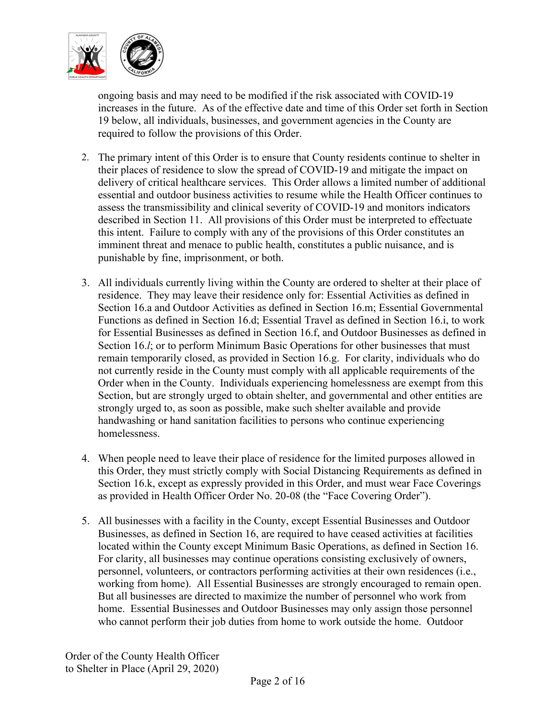

ongoing basis and may need to be modified if the risk associated with COVID-19 increases in the future. As of the effective date and time of this Order set forth in Section 19 below, all individuals, businesses, and government agencies in the County are required to follow the provisions of this Order.

- 2. The primary intent of this Order is to ensure that County residents continue to shelter in their places of residence to slow the spread of COVID-19 and mitigate the impact on delivery of critical healthcare services. This Order allows a limited number of additional essential and outdoor business activities to resume while the Health Officer continues to assess the transmissibility and clinical severity of COVID-19 and monitors indicators described in Section 11. All provisions of this Order must be interpreted to effectuate this intent. Failure to comply with any of the provisions of this Order constitutes an imminent threat and menace to public health, constitutes a public nuisance, and is punishable by fine, imprisonment, or both.
- 3. All individuals currently living within the County are ordered to shelter at their place of residence. They may leave their residence only for: Essential Activities as defined in Section 16.a and Outdoor Activities as defined in Section 16.m; Essential Governmental Functions as defined in Section 16.d; Essential Travel as defined in Section 16.i, to work for Essential Businesses as defined in Section 16.f, and Outdoor Businesses as defined in Section 16.*l*; or to perform Minimum Basic Operations for other businesses that must remain temporarily closed, as provided in Section 16.g. For clarity, individuals who do not currently reside in the County must comply with all applicable requirements of the Order when in the County. Individuals experiencing homelessness are exempt from this Section, but are strongly urged to obtain shelter, and governmental and other entities are strongly urged to, as soon as possible, make such shelter available and provide handwashing or hand sanitation facilities to persons who continue experiencing homelessness.
- 4. When people need to leave their place of residence for the limited purposes allowed in this Order, they must strictly comply with Social Distancing Requirements as defined in Section 16.k, except as expressly provided in this Order, and must wear Face Coverings as provided in Health Officer Order No. 20-08 (the "Face Covering Order").
- 5. All businesses with a facility in the County, except Essential Businesses and Outdoor Businesses, as defined in Section 16, are required to have ceased activities at facilities located within the County except Minimum Basic Operations, as defined in Section 16. For clarity, all businesses may continue operations consisting exclusively of owners, personnel, volunteers, or contractors performing activities at their own residences (i.e., working from home). All Essential Businesses are strongly encouraged to remain open. But all businesses are directed to maximize the number of personnel who work from home. Essential Businesses and Outdoor Businesses may only assign those personnel who cannot perform their job duties from home to work outside the home. Outdoor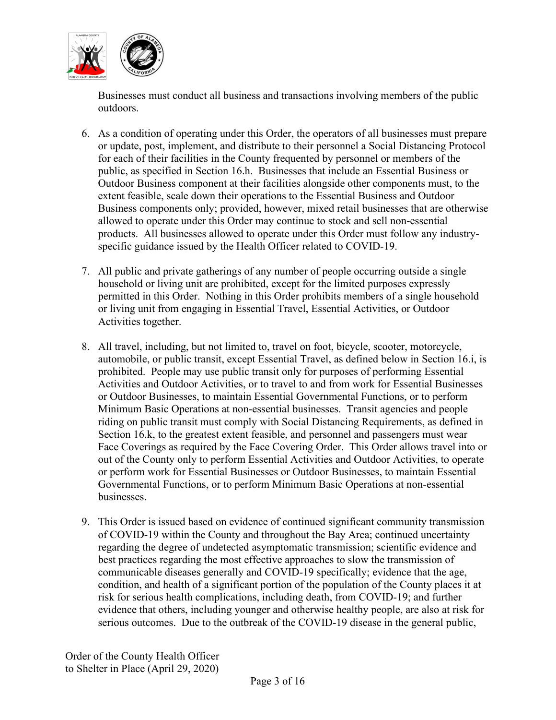

Businesses must conduct all business and transactions involving members of the public outdoors.

- 6. As a condition of operating under this Order, the operators of all businesses must prepare or update, post, implement, and distribute to their personnel a Social Distancing Protocol for each of their facilities in the County frequented by personnel or members of the public, as specified in Section 16.h. Businesses that include an Essential Business or Outdoor Business component at their facilities alongside other components must, to the extent feasible, scale down their operations to the Essential Business and Outdoor Business components only; provided, however, mixed retail businesses that are otherwise allowed to operate under this Order may continue to stock and sell non-essential products. All businesses allowed to operate under this Order must follow any industryspecific guidance issued by the Health Officer related to COVID-19.
- 7. All public and private gatherings of any number of people occurring outside a single household or living unit are prohibited, except for the limited purposes expressly permitted in this Order. Nothing in this Order prohibits members of a single household or living unit from engaging in Essential Travel, Essential Activities, or Outdoor Activities together.
- 8. All travel, including, but not limited to, travel on foot, bicycle, scooter, motorcycle, automobile, or public transit, except Essential Travel, as defined below in Section 16.i, is prohibited. People may use public transit only for purposes of performing Essential Activities and Outdoor Activities, or to travel to and from work for Essential Businesses or Outdoor Businesses, to maintain Essential Governmental Functions, or to perform Minimum Basic Operations at non-essential businesses. Transit agencies and people riding on public transit must comply with Social Distancing Requirements, as defined in Section 16.k, to the greatest extent feasible, and personnel and passengers must wear Face Coverings as required by the Face Covering Order. This Order allows travel into or out of the County only to perform Essential Activities and Outdoor Activities, to operate or perform work for Essential Businesses or Outdoor Businesses, to maintain Essential Governmental Functions, or to perform Minimum Basic Operations at non-essential businesses.
- 9. This Order is issued based on evidence of continued significant community transmission of COVID-19 within the County and throughout the Bay Area; continued uncertainty regarding the degree of undetected asymptomatic transmission; scientific evidence and best practices regarding the most effective approaches to slow the transmission of communicable diseases generally and COVID-19 specifically; evidence that the age, condition, and health of a significant portion of the population of the County places it at risk for serious health complications, including death, from COVID-19; and further evidence that others, including younger and otherwise healthy people, are also at risk for serious outcomes. Due to the outbreak of the COVID-19 disease in the general public,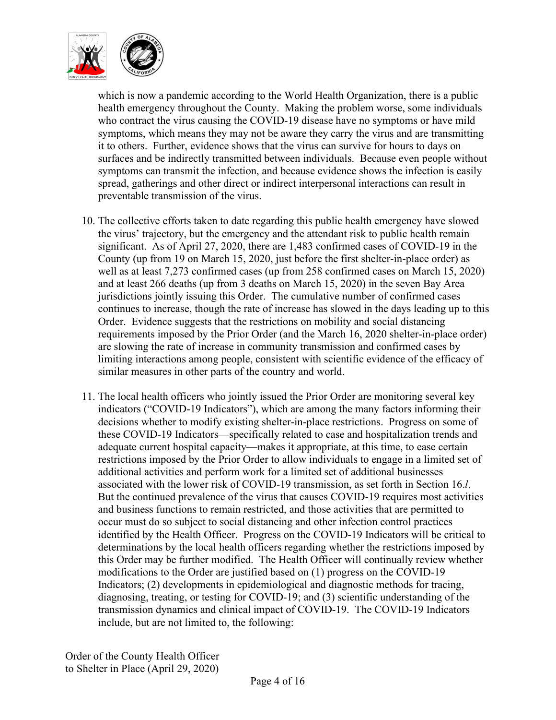

which is now a pandemic according to the World Health Organization, there is a public health emergency throughout the County. Making the problem worse, some individuals who contract the virus causing the COVID-19 disease have no symptoms or have mild symptoms, which means they may not be aware they carry the virus and are transmitting it to others. Further, evidence shows that the virus can survive for hours to days on surfaces and be indirectly transmitted between individuals. Because even people without symptoms can transmit the infection, and because evidence shows the infection is easily spread, gatherings and other direct or indirect interpersonal interactions can result in preventable transmission of the virus.

- 10. The collective efforts taken to date regarding this public health emergency have slowed the virus' trajectory, but the emergency and the attendant risk to public health remain significant. As of April 27, 2020, there are 1,483 confirmed cases of COVID-19 in the County (up from 19 on March 15, 2020, just before the first shelter-in-place order) as well as at least 7,273 confirmed cases (up from 258 confirmed cases on March 15, 2020) and at least 266 deaths (up from 3 deaths on March 15, 2020) in the seven Bay Area jurisdictions jointly issuing this Order. The cumulative number of confirmed cases continues to increase, though the rate of increase has slowed in the days leading up to this Order. Evidence suggests that the restrictions on mobility and social distancing requirements imposed by the Prior Order (and the March 16, 2020 shelter-in-place order) are slowing the rate of increase in community transmission and confirmed cases by limiting interactions among people, consistent with scientific evidence of the efficacy of similar measures in other parts of the country and world.
- 11. The local health officers who jointly issued the Prior Order are monitoring several key indicators ("COVID-19 Indicators"), which are among the many factors informing their decisions whether to modify existing shelter-in-place restrictions. Progress on some of these COVID-19 Indicators—specifically related to case and hospitalization trends and adequate current hospital capacity—makes it appropriate, at this time, to ease certain restrictions imposed by the Prior Order to allow individuals to engage in a limited set of additional activities and perform work for a limited set of additional businesses associated with the lower risk of COVID-19 transmission, as set forth in Section 16.*l*. But the continued prevalence of the virus that causes COVID-19 requires most activities and business functions to remain restricted, and those activities that are permitted to occur must do so subject to social distancing and other infection control practices identified by the Health Officer. Progress on the COVID-19 Indicators will be critical to determinations by the local health officers regarding whether the restrictions imposed by this Order may be further modified. The Health Officer will continually review whether modifications to the Order are justified based on (1) progress on the COVID-19 Indicators; (2) developments in epidemiological and diagnostic methods for tracing, diagnosing, treating, or testing for COVID-19; and (3) scientific understanding of the transmission dynamics and clinical impact of COVID-19. The COVID-19 Indicators include, but are not limited to, the following: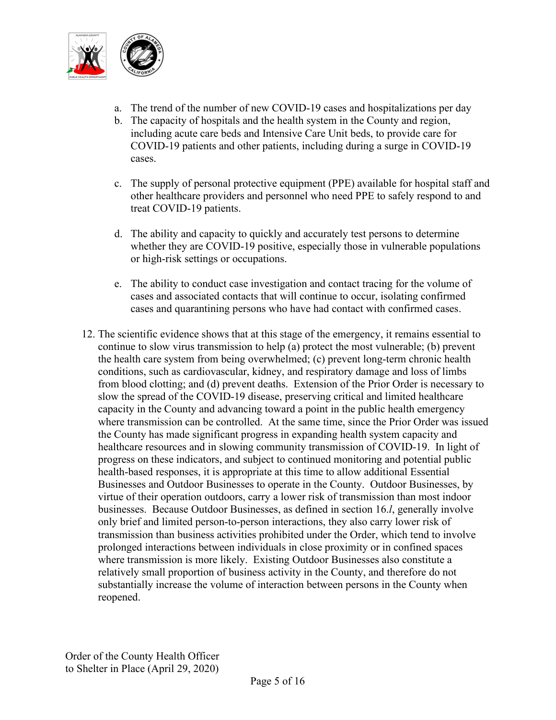

- a. The trend of the number of new COVID-19 cases and hospitalizations per day
- b. The capacity of hospitals and the health system in the County and region, including acute care beds and Intensive Care Unit beds, to provide care for COVID-19 patients and other patients, including during a surge in COVID-19 cases.
- c. The supply of personal protective equipment (PPE) available for hospital staff and other healthcare providers and personnel who need PPE to safely respond to and treat COVID-19 patients.
- d. The ability and capacity to quickly and accurately test persons to determine whether they are COVID-19 positive, especially those in vulnerable populations or high-risk settings or occupations.
- e. The ability to conduct case investigation and contact tracing for the volume of cases and associated contacts that will continue to occur, isolating confirmed cases and quarantining persons who have had contact with confirmed cases.
- 12. The scientific evidence shows that at this stage of the emergency, it remains essential to continue to slow virus transmission to help (a) protect the most vulnerable; (b) prevent the health care system from being overwhelmed; (c) prevent long-term chronic health conditions, such as cardiovascular, kidney, and respiratory damage and loss of limbs from blood clotting; and (d) prevent deaths. Extension of the Prior Order is necessary to slow the spread of the COVID-19 disease, preserving critical and limited healthcare capacity in the County and advancing toward a point in the public health emergency where transmission can be controlled. At the same time, since the Prior Order was issued the County has made significant progress in expanding health system capacity and healthcare resources and in slowing community transmission of COVID-19. In light of progress on these indicators, and subject to continued monitoring and potential public health-based responses, it is appropriate at this time to allow additional Essential Businesses and Outdoor Businesses to operate in the County. Outdoor Businesses, by virtue of their operation outdoors, carry a lower risk of transmission than most indoor businesses. Because Outdoor Businesses, as defined in section 16.*l*, generally involve only brief and limited person-to-person interactions, they also carry lower risk of transmission than business activities prohibited under the Order, which tend to involve prolonged interactions between individuals in close proximity or in confined spaces where transmission is more likely. Existing Outdoor Businesses also constitute a relatively small proportion of business activity in the County, and therefore do not substantially increase the volume of interaction between persons in the County when reopened.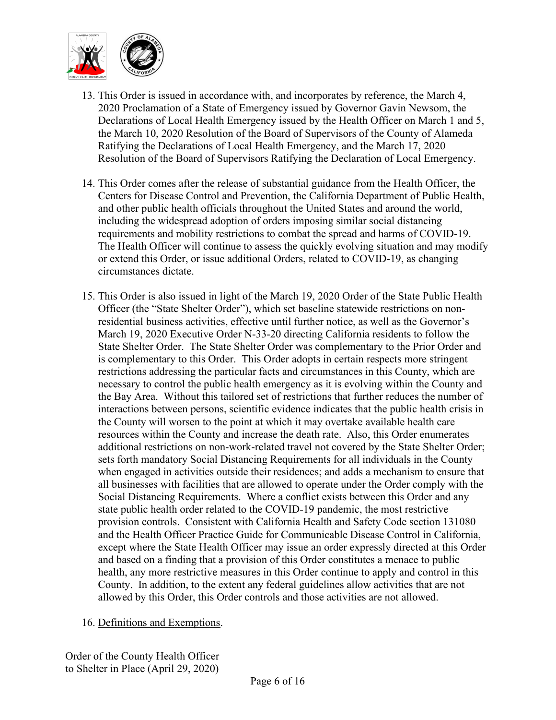

- 13. This Order is issued in accordance with, and incorporates by reference, the March 4, 2020 Proclamation of a State of Emergency issued by Governor Gavin Newsom, the Declarations of Local Health Emergency issued by the Health Officer on March 1 and 5, the March 10, 2020 Resolution of the Board of Supervisors of the County of Alameda Ratifying the Declarations of Local Health Emergency, and the March 17, 2020 Resolution of the Board of Supervisors Ratifying the Declaration of Local Emergency.
- 14. This Order comes after the release of substantial guidance from the Health Officer, the Centers for Disease Control and Prevention, the California Department of Public Health, and other public health officials throughout the United States and around the world, including the widespread adoption of orders imposing similar social distancing requirements and mobility restrictions to combat the spread and harms of COVID-19. The Health Officer will continue to assess the quickly evolving situation and may modify or extend this Order, or issue additional Orders, related to COVID-19, as changing circumstances dictate.
- 15. This Order is also issued in light of the March 19, 2020 Order of the State Public Health Officer (the "State Shelter Order"), which set baseline statewide restrictions on nonresidential business activities, effective until further notice, as well as the Governor's March 19, 2020 Executive Order N-33-20 directing California residents to follow the State Shelter Order. The State Shelter Order was complementary to the Prior Order and is complementary to this Order. This Order adopts in certain respects more stringent restrictions addressing the particular facts and circumstances in this County, which are necessary to control the public health emergency as it is evolving within the County and the Bay Area. Without this tailored set of restrictions that further reduces the number of interactions between persons, scientific evidence indicates that the public health crisis in the County will worsen to the point at which it may overtake available health care resources within the County and increase the death rate. Also, this Order enumerates additional restrictions on non-work-related travel not covered by the State Shelter Order; sets forth mandatory Social Distancing Requirements for all individuals in the County when engaged in activities outside their residences; and adds a mechanism to ensure that all businesses with facilities that are allowed to operate under the Order comply with the Social Distancing Requirements. Where a conflict exists between this Order and any state public health order related to the COVID-19 pandemic, the most restrictive provision controls. Consistent with California Health and Safety Code section 131080 and the Health Officer Practice Guide for Communicable Disease Control in California, except where the State Health Officer may issue an order expressly directed at this Order and based on a finding that a provision of this Order constitutes a menace to public health, any more restrictive measures in this Order continue to apply and control in this County. In addition, to the extent any federal guidelines allow activities that are not allowed by this Order, this Order controls and those activities are not allowed.
- 16. Definitions and Exemptions.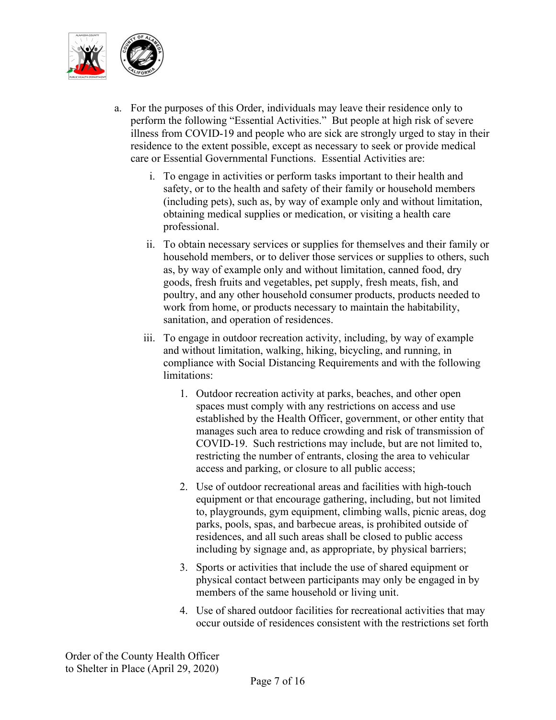

- a. For the purposes of this Order, individuals may leave their residence only to perform the following "Essential Activities." But people at high risk of severe illness from COVID-19 and people who are sick are strongly urged to stay in their residence to the extent possible, except as necessary to seek or provide medical care or Essential Governmental Functions. Essential Activities are:
	- i. To engage in activities or perform tasks important to their health and safety, or to the health and safety of their family or household members (including pets), such as, by way of example only and without limitation, obtaining medical supplies or medication, or visiting a health care professional.
	- ii. To obtain necessary services or supplies for themselves and their family or household members, or to deliver those services or supplies to others, such as, by way of example only and without limitation, canned food, dry goods, fresh fruits and vegetables, pet supply, fresh meats, fish, and poultry, and any other household consumer products, products needed to work from home, or products necessary to maintain the habitability, sanitation, and operation of residences.
	- iii. To engage in outdoor recreation activity, including, by way of example and without limitation, walking, hiking, bicycling, and running, in compliance with Social Distancing Requirements and with the following limitations:
		- 1. Outdoor recreation activity at parks, beaches, and other open spaces must comply with any restrictions on access and use established by the Health Officer, government, or other entity that manages such area to reduce crowding and risk of transmission of COVID-19. Such restrictions may include, but are not limited to, restricting the number of entrants, closing the area to vehicular access and parking, or closure to all public access;
		- 2. Use of outdoor recreational areas and facilities with high-touch equipment or that encourage gathering, including, but not limited to, playgrounds, gym equipment, climbing walls, picnic areas, dog parks, pools, spas, and barbecue areas, is prohibited outside of residences, and all such areas shall be closed to public access including by signage and, as appropriate, by physical barriers;
		- 3. Sports or activities that include the use of shared equipment or physical contact between participants may only be engaged in by members of the same household or living unit.
		- 4. Use of shared outdoor facilities for recreational activities that may occur outside of residences consistent with the restrictions set forth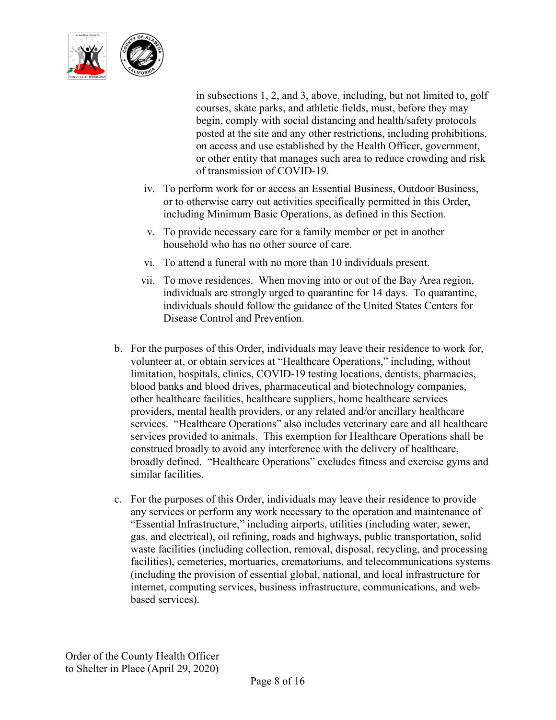

in subsections 1, 2, and 3, above, including, but not limited to, golf courses, skate parks, and athletic fields, must, before they may begin, comply with social distancing and health/safety protocols posted at the site and any other restrictions, including prohibitions, on access and use established by the Health Officer, government, or other entity that manages such area to reduce crowding and risk of transmission of COVID-19.

- iv. To perform work for or access an Essential Business, Outdoor Business, or to otherwise carry out activities specifically permitted in this Order, including Minimum Basic Operations, as defined in this Section.
- v. To provide necessary care for a family member or pet in another household who has no other source of care.
- vi. To attend a funeral with no more than 10 individuals present.
- vii. To move residences. When moving into or out of the Bay Area region, individuals are strongly urged to quarantine for 14 days. To quarantine, individuals should follow the guidance of the United States Centers for Disease Control and Prevention.
- b. For the purposes of this Order, individuals may leave their residence to work for, volunteer at, or obtain services at "Healthcare Operations," including, without limitation, hospitals, clinics, COVID-19 testing locations, dentists, pharmacies, blood banks and blood drives, pharmaceutical and biotechnology companies, other healthcare facilities, healthcare suppliers, home healthcare services providers, mental health providers, or any related and/or ancillary healthcare services. "Healthcare Operations" also includes veterinary care and all healthcare services provided to animals. This exemption for Healthcare Operations shall be construed broadly to avoid any interference with the delivery of healthcare, broadly defined. "Healthcare Operations" excludes fitness and exercise gyms and similar facilities.
- c. For the purposes of this Order, individuals may leave their residence to provide any services or perform any work necessary to the operation and maintenance of "Essential Infrastructure," including airports, utilities (including water, sewer, gas, and electrical), oil refining, roads and highways, public transportation, solid waste facilities (including collection, removal, disposal, recycling, and processing facilities), cemeteries, mortuaries, crematoriums, and telecommunications systems (including the provision of essential global, national, and local infrastructure for internet, computing services, business infrastructure, communications, and webbased services).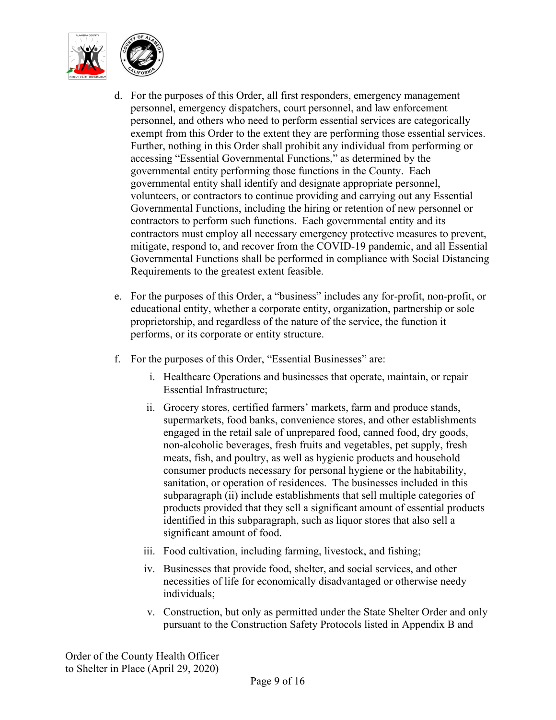

- d. For the purposes of this Order, all first responders, emergency management personnel, emergency dispatchers, court personnel, and law enforcement personnel, and others who need to perform essential services are categorically exempt from this Order to the extent they are performing those essential services. Further, nothing in this Order shall prohibit any individual from performing or accessing "Essential Governmental Functions," as determined by the governmental entity performing those functions in the County. Each governmental entity shall identify and designate appropriate personnel, volunteers, or contractors to continue providing and carrying out any Essential Governmental Functions, including the hiring or retention of new personnel or contractors to perform such functions. Each governmental entity and its contractors must employ all necessary emergency protective measures to prevent, mitigate, respond to, and recover from the COVID-19 pandemic, and all Essential Governmental Functions shall be performed in compliance with Social Distancing Requirements to the greatest extent feasible.
- e. For the purposes of this Order, a "business" includes any for-profit, non-profit, or educational entity, whether a corporate entity, organization, partnership or sole proprietorship, and regardless of the nature of the service, the function it performs, or its corporate or entity structure.
- f. For the purposes of this Order, "Essential Businesses" are:
	- i. Healthcare Operations and businesses that operate, maintain, or repair Essential Infrastructure;
	- ii. Grocery stores, certified farmers' markets, farm and produce stands, supermarkets, food banks, convenience stores, and other establishments engaged in the retail sale of unprepared food, canned food, dry goods, non-alcoholic beverages, fresh fruits and vegetables, pet supply, fresh meats, fish, and poultry, as well as hygienic products and household consumer products necessary for personal hygiene or the habitability, sanitation, or operation of residences. The businesses included in this subparagraph (ii) include establishments that sell multiple categories of products provided that they sell a significant amount of essential products identified in this subparagraph, such as liquor stores that also sell a significant amount of food.
	- iii. Food cultivation, including farming, livestock, and fishing;
	- iv. Businesses that provide food, shelter, and social services, and other necessities of life for economically disadvantaged or otherwise needy individuals;
	- v. Construction, but only as permitted under the State Shelter Order and only pursuant to the Construction Safety Protocols listed in Appendix B and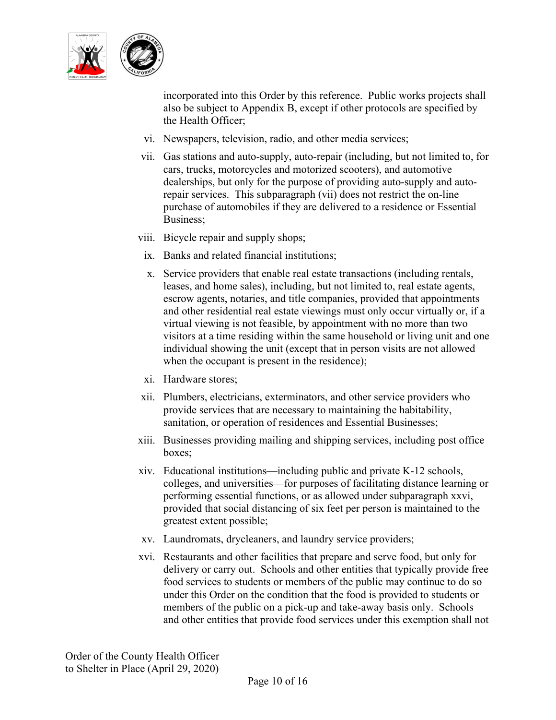

incorporated into this Order by this reference. Public works projects shall also be subject to Appendix B, except if other protocols are specified by the Health Officer;

- vi. Newspapers, television, radio, and other media services;
- vii. Gas stations and auto-supply, auto-repair (including, but not limited to, for cars, trucks, motorcycles and motorized scooters), and automotive dealerships, but only for the purpose of providing auto-supply and autorepair services. This subparagraph (vii) does not restrict the on-line purchase of automobiles if they are delivered to a residence or Essential Business;
- viii. Bicycle repair and supply shops;
	- ix. Banks and related financial institutions;
	- x. Service providers that enable real estate transactions (including rentals, leases, and home sales), including, but not limited to, real estate agents, escrow agents, notaries, and title companies, provided that appointments and other residential real estate viewings must only occur virtually or, if a virtual viewing is not feasible, by appointment with no more than two visitors at a time residing within the same household or living unit and one individual showing the unit (except that in person visits are not allowed when the occupant is present in the residence);
- xi. Hardware stores;
- xii. Plumbers, electricians, exterminators, and other service providers who provide services that are necessary to maintaining the habitability, sanitation, or operation of residences and Essential Businesses;
- xiii. Businesses providing mailing and shipping services, including post office boxes;
- xiv. Educational institutions—including public and private K-12 schools, colleges, and universities—for purposes of facilitating distance learning or performing essential functions, or as allowed under subparagraph xxvi, provided that social distancing of six feet per person is maintained to the greatest extent possible;
- xv. Laundromats, drycleaners, and laundry service providers;
- xvi. Restaurants and other facilities that prepare and serve food, but only for delivery or carry out. Schools and other entities that typically provide free food services to students or members of the public may continue to do so under this Order on the condition that the food is provided to students or members of the public on a pick-up and take-away basis only. Schools and other entities that provide food services under this exemption shall not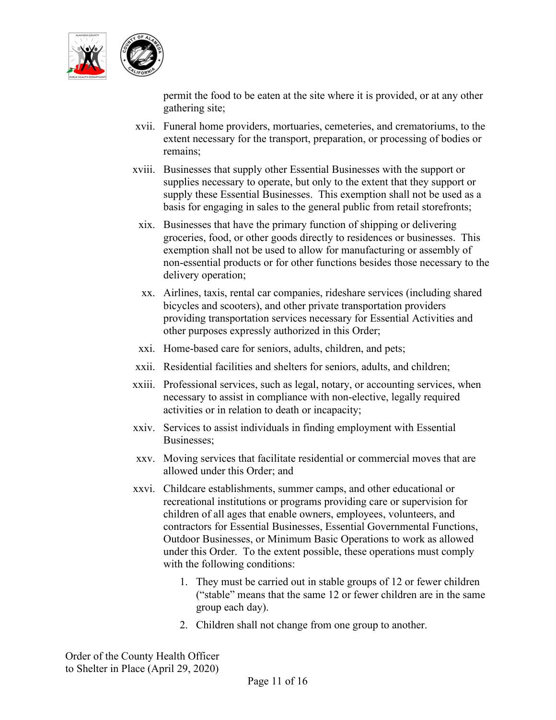

permit the food to be eaten at the site where it is provided, or at any other gathering site;

- xvii. Funeral home providers, mortuaries, cemeteries, and crematoriums, to the extent necessary for the transport, preparation, or processing of bodies or remains;
- xviii. Businesses that supply other Essential Businesses with the support or supplies necessary to operate, but only to the extent that they support or supply these Essential Businesses. This exemption shall not be used as a basis for engaging in sales to the general public from retail storefronts;
- xix. Businesses that have the primary function of shipping or delivering groceries, food, or other goods directly to residences or businesses. This exemption shall not be used to allow for manufacturing or assembly of non-essential products or for other functions besides those necessary to the delivery operation;
- xx. Airlines, taxis, rental car companies, rideshare services (including shared bicycles and scooters), and other private transportation providers providing transportation services necessary for Essential Activities and other purposes expressly authorized in this Order;
- xxi. Home-based care for seniors, adults, children, and pets;
- xxii. Residential facilities and shelters for seniors, adults, and children;
- xxiii. Professional services, such as legal, notary, or accounting services, when necessary to assist in compliance with non-elective, legally required activities or in relation to death or incapacity;
- xxiv. Services to assist individuals in finding employment with Essential Businesses;
- xxv. Moving services that facilitate residential or commercial moves that are allowed under this Order; and
- xxvi. Childcare establishments, summer camps, and other educational or recreational institutions or programs providing care or supervision for children of all ages that enable owners, employees, volunteers, and contractors for Essential Businesses, Essential Governmental Functions, Outdoor Businesses, or Minimum Basic Operations to work as allowed under this Order. To the extent possible, these operations must comply with the following conditions:
	- 1. They must be carried out in stable groups of 12 or fewer children ("stable" means that the same 12 or fewer children are in the same group each day).
	- 2. Children shall not change from one group to another.

Order of the County Health Officer to Shelter in Place (April 29, 2020)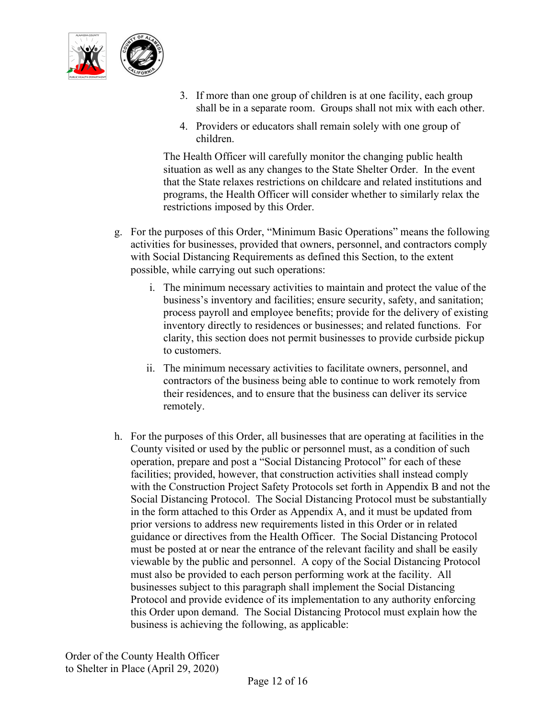

- 3. If more than one group of children is at one facility, each group shall be in a separate room. Groups shall not mix with each other.
- 4. Providers or educators shall remain solely with one group of children.

The Health Officer will carefully monitor the changing public health situation as well as any changes to the State Shelter Order. In the event that the State relaxes restrictions on childcare and related institutions and programs, the Health Officer will consider whether to similarly relax the restrictions imposed by this Order.

- g. For the purposes of this Order, "Minimum Basic Operations" means the following activities for businesses, provided that owners, personnel, and contractors comply with Social Distancing Requirements as defined this Section, to the extent possible, while carrying out such operations:
	- i. The minimum necessary activities to maintain and protect the value of the business's inventory and facilities; ensure security, safety, and sanitation; process payroll and employee benefits; provide for the delivery of existing inventory directly to residences or businesses; and related functions. For clarity, this section does not permit businesses to provide curbside pickup to customers.
	- ii. The minimum necessary activities to facilitate owners, personnel, and contractors of the business being able to continue to work remotely from their residences, and to ensure that the business can deliver its service remotely.
- h. For the purposes of this Order, all businesses that are operating at facilities in the County visited or used by the public or personnel must, as a condition of such operation, prepare and post a "Social Distancing Protocol" for each of these facilities; provided, however, that construction activities shall instead comply with the Construction Project Safety Protocols set forth in Appendix B and not the Social Distancing Protocol. The Social Distancing Protocol must be substantially in the form attached to this Order as Appendix A, and it must be updated from prior versions to address new requirements listed in this Order or in related guidance or directives from the Health Officer. The Social Distancing Protocol must be posted at or near the entrance of the relevant facility and shall be easily viewable by the public and personnel. A copy of the Social Distancing Protocol must also be provided to each person performing work at the facility. All businesses subject to this paragraph shall implement the Social Distancing Protocol and provide evidence of its implementation to any authority enforcing this Order upon demand. The Social Distancing Protocol must explain how the business is achieving the following, as applicable: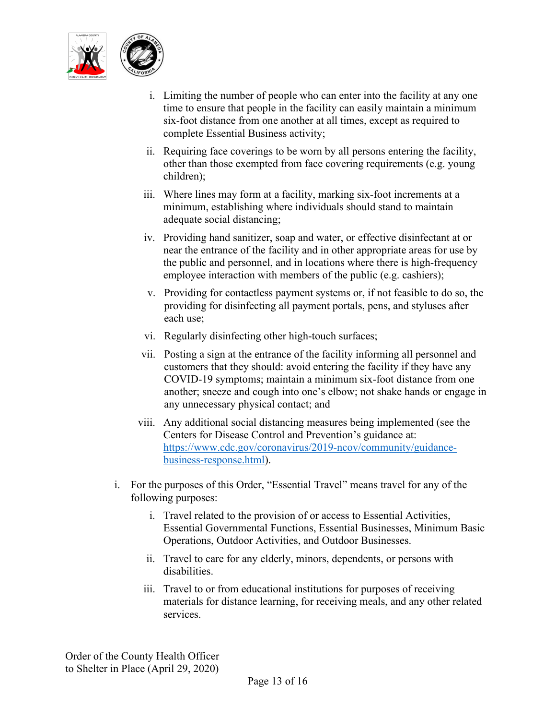

- i. Limiting the number of people who can enter into the facility at any one time to ensure that people in the facility can easily maintain a minimum six-foot distance from one another at all times, except as required to complete Essential Business activity;
- ii. Requiring face coverings to be worn by all persons entering the facility, other than those exempted from face covering requirements (e.g. young children);
- iii. Where lines may form at a facility, marking six-foot increments at a minimum, establishing where individuals should stand to maintain adequate social distancing;
- iv. Providing hand sanitizer, soap and water, or effective disinfectant at or near the entrance of the facility and in other appropriate areas for use by the public and personnel, and in locations where there is high-frequency employee interaction with members of the public (e.g. cashiers);
- v. Providing for contactless payment systems or, if not feasible to do so, the providing for disinfecting all payment portals, pens, and styluses after each use;
- vi. Regularly disinfecting other high-touch surfaces;
- vii. Posting a sign at the entrance of the facility informing all personnel and customers that they should: avoid entering the facility if they have any COVID-19 symptoms; maintain a minimum six-foot distance from one another; sneeze and cough into one's elbow; not shake hands or engage in any unnecessary physical contact; and
- viii. Any additional social distancing measures being implemented (see the Centers for Disease Control and Prevention's guidance at: [https://www.cdc.gov/coronavirus/2019-ncov/community/guidance](https://urldefense.proofpoint.com/v2/url?u=https-3A__www.cdc.gov_coronavirus_2019-2Dncov_community_guidance-2Dbusiness-2Dresponse.html&d=DwMFAw&c=jIuf2QGe13CVwCCNhnnHSyGX0TfHadH8sr2VwRkl7n8&r=ngkLopuMRZUOqEIlIlHX3zVLl4AZMj7V3rWqAE9UGqQ&m=Qer8m3QWIWOVAJdc_vNH--0HKkNvhAMe3lrb0WmOdBI&s=DyfmdZVnfn5xjeIVMnDZJxkHd-kHAhoUnoNIl0WHytw&e=)[business-response.html\)](https://urldefense.proofpoint.com/v2/url?u=https-3A__www.cdc.gov_coronavirus_2019-2Dncov_community_guidance-2Dbusiness-2Dresponse.html&d=DwMFAw&c=jIuf2QGe13CVwCCNhnnHSyGX0TfHadH8sr2VwRkl7n8&r=ngkLopuMRZUOqEIlIlHX3zVLl4AZMj7V3rWqAE9UGqQ&m=Qer8m3QWIWOVAJdc_vNH--0HKkNvhAMe3lrb0WmOdBI&s=DyfmdZVnfn5xjeIVMnDZJxkHd-kHAhoUnoNIl0WHytw&e=).
- i. For the purposes of this Order, "Essential Travel" means travel for any of the following purposes:
	- i. Travel related to the provision of or access to Essential Activities, Essential Governmental Functions, Essential Businesses, Minimum Basic Operations, Outdoor Activities, and Outdoor Businesses.
	- ii. Travel to care for any elderly, minors, dependents, or persons with disabilities.
	- iii. Travel to or from educational institutions for purposes of receiving materials for distance learning, for receiving meals, and any other related services.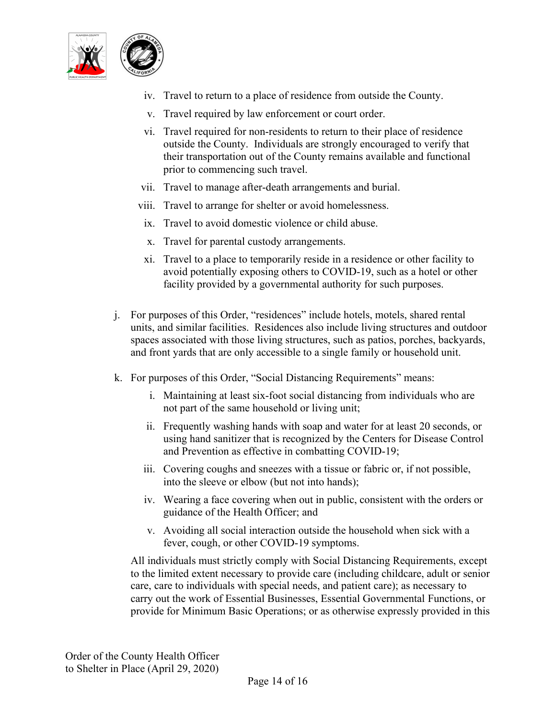

- iv. Travel to return to a place of residence from outside the County.
- v. Travel required by law enforcement or court order.
- vi. Travel required for non-residents to return to their place of residence outside the County. Individuals are strongly encouraged to verify that their transportation out of the County remains available and functional prior to commencing such travel.
- vii. Travel to manage after-death arrangements and burial.
- viii. Travel to arrange for shelter or avoid homelessness.
- ix. Travel to avoid domestic violence or child abuse.
- x. Travel for parental custody arrangements.
- xi. Travel to a place to temporarily reside in a residence or other facility to avoid potentially exposing others to COVID-19, such as a hotel or other facility provided by a governmental authority for such purposes.
- j. For purposes of this Order, "residences" include hotels, motels, shared rental units, and similar facilities. Residences also include living structures and outdoor spaces associated with those living structures, such as patios, porches, backyards, and front yards that are only accessible to a single family or household unit.
- k. For purposes of this Order, "Social Distancing Requirements" means:
	- i. Maintaining at least six-foot social distancing from individuals who are not part of the same household or living unit;
	- ii. Frequently washing hands with soap and water for at least 20 seconds, or using hand sanitizer that is recognized by the Centers for Disease Control and Prevention as effective in combatting COVID-19;
	- iii. Covering coughs and sneezes with a tissue or fabric or, if not possible, into the sleeve or elbow (but not into hands);
	- iv. Wearing a face covering when out in public, consistent with the orders or guidance of the Health Officer; and
	- v. Avoiding all social interaction outside the household when sick with a fever, cough, or other COVID-19 symptoms.

All individuals must strictly comply with Social Distancing Requirements, except to the limited extent necessary to provide care (including childcare, adult or senior care, care to individuals with special needs, and patient care); as necessary to carry out the work of Essential Businesses, Essential Governmental Functions, or provide for Minimum Basic Operations; or as otherwise expressly provided in this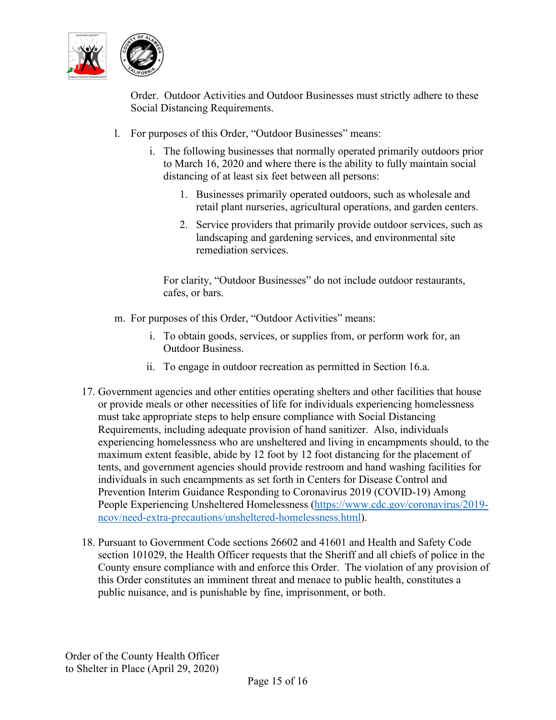

Order. Outdoor Activities and Outdoor Businesses must strictly adhere to these Social Distancing Requirements.

- l. For purposes of this Order, "Outdoor Businesses" means:
	- i. The following businesses that normally operated primarily outdoors prior to March 16, 2020 and where there is the ability to fully maintain social distancing of at least six feet between all persons:
		- 1. Businesses primarily operated outdoors, such as wholesale and retail plant nurseries, agricultural operations, and garden centers.
		- 2. Service providers that primarily provide outdoor services, such as landscaping and gardening services, and environmental site remediation services.

For clarity, "Outdoor Businesses" do not include outdoor restaurants, cafes, or bars.

- m. For purposes of this Order, "Outdoor Activities" means:
	- i. To obtain goods, services, or supplies from, or perform work for, an Outdoor Business.
	- ii. To engage in outdoor recreation as permitted in Section 16.a.
- 17. Government agencies and other entities operating shelters and other facilities that house or provide meals or other necessities of life for individuals experiencing homelessness must take appropriate steps to help ensure compliance with Social Distancing Requirements, including adequate provision of hand sanitizer. Also, individuals experiencing homelessness who are unsheltered and living in encampments should, to the maximum extent feasible, abide by 12 foot by 12 foot distancing for the placement of tents, and government agencies should provide restroom and hand washing facilities for individuals in such encampments as set forth in Centers for Disease Control and Prevention Interim Guidance Responding to Coronavirus 2019 (COVID-19) Among People Experiencing Unsheltered Homelessness [\(https://www.cdc.gov/coronavirus/2019](https://www.cdc.gov/coronavirus/2019-ncov/need-extra-precautions/unsheltered-homelessness.html) [ncov/need-extra-precautions/unsheltered-homelessness.html\)](https://www.cdc.gov/coronavirus/2019-ncov/need-extra-precautions/unsheltered-homelessness.html).
- 18. Pursuant to Government Code sections 26602 and 41601 and Health and Safety Code section 101029, the Health Officer requests that the Sheriff and all chiefs of police in the County ensure compliance with and enforce this Order. The violation of any provision of this Order constitutes an imminent threat and menace to public health, constitutes a public nuisance, and is punishable by fine, imprisonment, or both.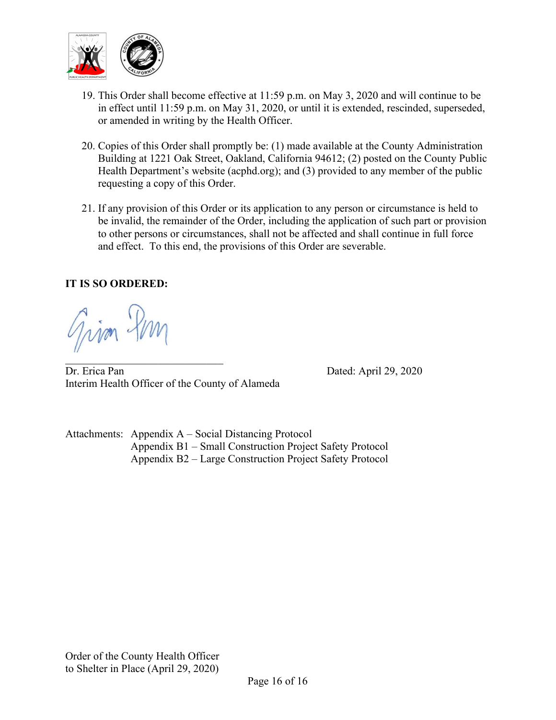

- 19. This Order shall become effective at 11:59 p.m. on May 3, 2020 and will continue to be in effect until 11:59 p.m. on May 31, 2020, or until it is extended, rescinded, superseded, or amended in writing by the Health Officer.
- 20. Copies of this Order shall promptly be: (1) made available at the County Administration Building at 1221 Oak Street, Oakland, California 94612; (2) posted on the County Public Health Department's website (acphd.org); and (3) provided to any member of the public requesting a copy of this Order.
- 21. If any provision of this Order or its application to any person or circumstance is held to be invalid, the remainder of the Order, including the application of such part or provision to other persons or circumstances, shall not be affected and shall continue in full force and effect. To this end, the provisions of this Order are severable.

### **IT IS SO ORDERED:**

Grim Hm

 $\overline{\phantom{a}}$  , and the set of the set of the set of the set of the set of the set of the set of the set of the set of the set of the set of the set of the set of the set of the set of the set of the set of the set of the s Dr. Erica Pan Dated: April 29, 2020 Interim Health Officer of the County of Alameda

Attachments: Appendix A – Social Distancing Protocol Appendix B1 – Small Construction Project Safety Protocol Appendix B2 – Large Construction Project Safety Protocol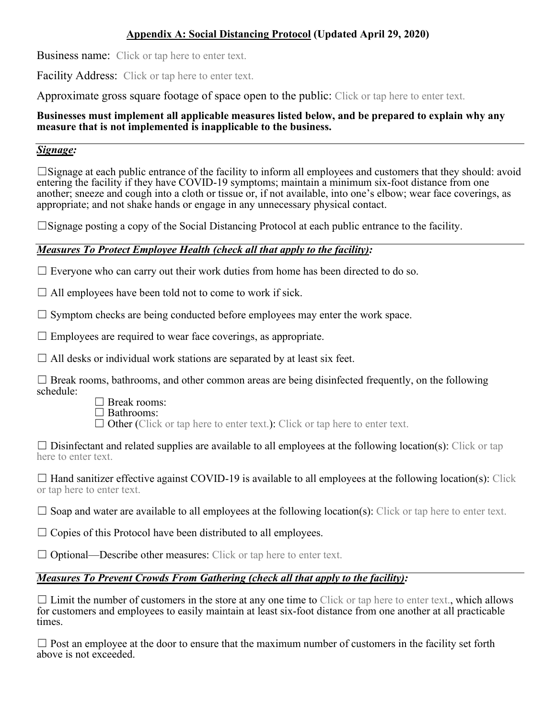### **Appendix A: Social Distancing Protocol (Updated April 29, 2020)**

Business name:Click or tap here to enter text.

Facility Address: Click or tap here to enter text.

Approximate gross square footage of space open to the public: Click or tap here to enter text.

#### **Businesses must implement all applicable measures listed below, and be prepared to explain why any measure that is not implemented is inapplicable to the business.**

#### *Signage:*

☐Signage at each public entrance of the facility to inform all employees and customers that they should: avoid entering the facility if they have COVID-19 symptoms; maintain a minimum six-foot distance from one another; sneeze and cough into a cloth or tissue or, if not available, into one's elbow; wear face coverings, as appropriate; and not shake hands or engage in any unnecessary physical contact.

 $\square$ Signage posting a copy of the Social Distancing Protocol at each public entrance to the facility.

### *Measures To Protect Employee Health (check all that apply to the facility):*

 $\Box$  Everyone who can carry out their work duties from home has been directed to do so.

 $\Box$  All employees have been told not to come to work if sick.

 $\Box$  Symptom checks are being conducted before employees may enter the work space.

 $\Box$  Employees are required to wear face coverings, as appropriate.

 $\Box$  All desks or individual work stations are separated by at least six feet.

 $\Box$  Break rooms, bathrooms, and other common areas are being disinfected frequently, on the following schedule:

☐ Break rooms:

☐ Bathrooms:

 $\Box$  Other (Click or tap here to enter text.): Click or tap here to enter text.

 $\Box$  Disinfectant and related supplies are available to all employees at the following location(s): Click or tap here to enter text.

 $\Box$  Hand sanitizer effective against COVID-19 is available to all employees at the following location(s): Click or tap here to enter text.

 $\Box$  Soap and water are available to all employees at the following location(s): Click or tap here to enter text.

 $\Box$  Copies of this Protocol have been distributed to all employees.

 $\Box$  Optional—Describe other measures: Click or tap here to enter text.

### *Measures To Prevent Crowds From Gathering (check all that apply to the facility):*

 $\Box$  Limit the number of customers in the store at any one time to Click or tap here to enter text., which allows for customers and employees to easily maintain at least six-foot distance from one another at all practicable times.

 $\Box$  Post an employee at the door to ensure that the maximum number of customers in the facility set forth above is not exceeded.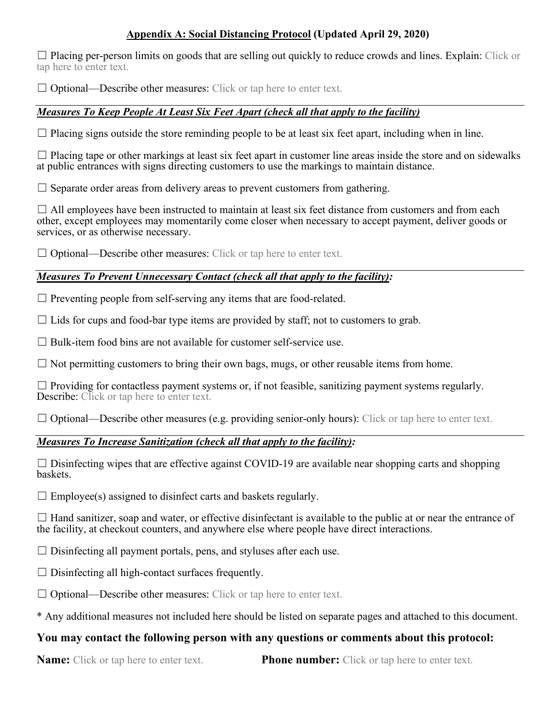### **Appendix A: Social Distancing Protocol (Updated April 29, 2020)**

 $\Box$  Placing per-person limits on goods that are selling out quickly to reduce crowds and lines. Explain: Click or tap here to enter text.

 $\Box$  Optional—Describe other measures: Click or tap here to enter text.

#### *Measures To Keep People At Least Six Feet Apart (check all that apply to the facility)*

 $\Box$  Placing signs outside the store reminding people to be at least six feet apart, including when in line.

 $\Box$  Placing tape or other markings at least six feet apart in customer line areas inside the store and on sidewalks at public entrances with signs directing customers to use the markings to maintain distance.

 $\Box$  Separate order areas from delivery areas to prevent customers from gathering.

 $\Box$  All employees have been instructed to maintain at least six feet distance from customers and from each other, except employees may momentarily come closer when necessary to accept payment, deliver goods or services, or as otherwise necessary.

 $\Box$  Optional—Describe other measures: Click or tap here to enter text.

### *Measures To Prevent Unnecessary Contact (check all that apply to the facility):*

 $\Box$  Preventing people from self-serving any items that are food-related.

 $\Box$  Lids for cups and food-bar type items are provided by staff; not to customers to grab.

 $\Box$  Bulk-item food bins are not available for customer self-service use.

 $\Box$  Not permitting customers to bring their own bags, mugs, or other reusable items from home.

 $\Box$  Providing for contactless payment systems or, if not feasible, sanitizing payment systems regularly. Describe: Click or tap here to enter text.

 $\Box$  Optional—Describe other measures (e.g. providing senior-only hours): Click or tap here to enter text.

#### *Measures To Increase Sanitization (check all that apply to the facility):*

 $\Box$  Disinfecting wipes that are effective against COVID-19 are available near shopping carts and shopping baskets.

 $\Box$  Employee(s) assigned to disinfect carts and baskets regularly.

 $\Box$  Hand sanitizer, soap and water, or effective disinfectant is available to the public at or near the entrance of the facility, at checkout counters, and anywhere else where people have direct interactions.

 $\Box$  Disinfecting all payment portals, pens, and styluses after each use.

 $\Box$  Disinfecting all high-contact surfaces frequently.

□ Optional—Describe other measures: Click or tap here to enter text.

\* Any additional measures not included here should be listed on separate pages and attached to this document.

### **You may contact the following person with any questions or comments about this protocol:**

**Name:** Click or tap here to enter text. **Phone number:** Click or tap here to enter text.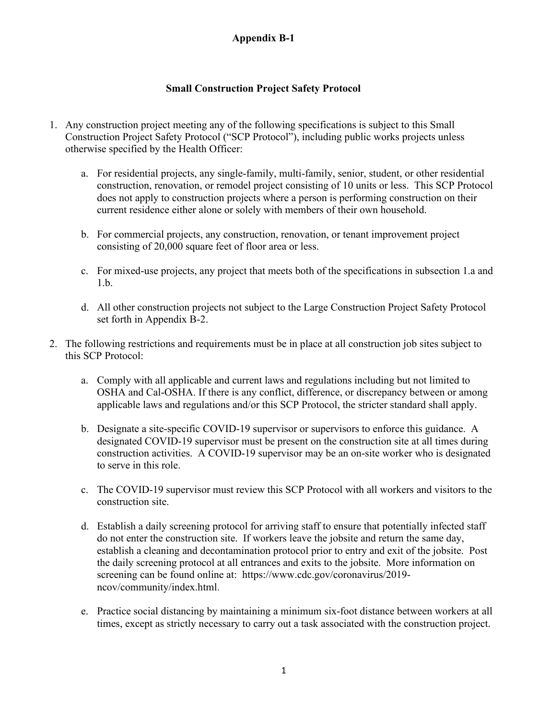### **Small Construction Project Safety Protocol**

- 1. Any construction project meeting any of the following specifications is subject to this Small Construction Project Safety Protocol ("SCP Protocol"), including public works projects unless otherwise specified by the Health Officer:
	- a. For residential projects, any single-family, multi-family, senior, student, or other residential construction, renovation, or remodel project consisting of 10 units or less. This SCP Protocol does not apply to construction projects where a person is performing construction on their current residence either alone or solely with members of their own household.
	- b. For commercial projects, any construction, renovation, or tenant improvement project consisting of 20,000 square feet of floor area or less.
	- c. For mixed-use projects, any project that meets both of the specifications in subsection 1.a and 1.b.
	- d. All other construction projects not subject to the Large Construction Project Safety Protocol set forth in Appendix B-2.
- 2. The following restrictions and requirements must be in place at all construction job sites subject to this SCP Protocol:
	- a. Comply with all applicable and current laws and regulations including but not limited to OSHA and Cal-OSHA. If there is any conflict, difference, or discrepancy between or among applicable laws and regulations and/or this SCP Protocol, the stricter standard shall apply.
	- b. Designate a site-specific COVID-19 supervisor or supervisors to enforce this guidance. A designated COVID-19 supervisor must be present on the construction site at all times during construction activities. A COVID-19 supervisor may be an on-site worker who is designated to serve in this role.
	- c. The COVID-19 supervisor must review this SCP Protocol with all workers and visitors to the construction site.
	- d. Establish a daily screening protocol for arriving staff to ensure that potentially infected staff do not enter the construction site. If workers leave the jobsite and return the same day, establish a cleaning and decontamination protocol prior to entry and exit of the jobsite. Post the daily screening protocol at all entrances and exits to the jobsite. More information on screening can be found online at: [https://www.cdc.gov/coronavirus/2019](https://www.cdc.gov/coronavirus/2019-ncov/community/index.html) [ncov/community/index.html.](https://www.cdc.gov/coronavirus/2019-ncov/community/index.html)
	- e. Practice social distancing by maintaining a minimum six-foot distance between workers at all times, except as strictly necessary to carry out a task associated with the construction project.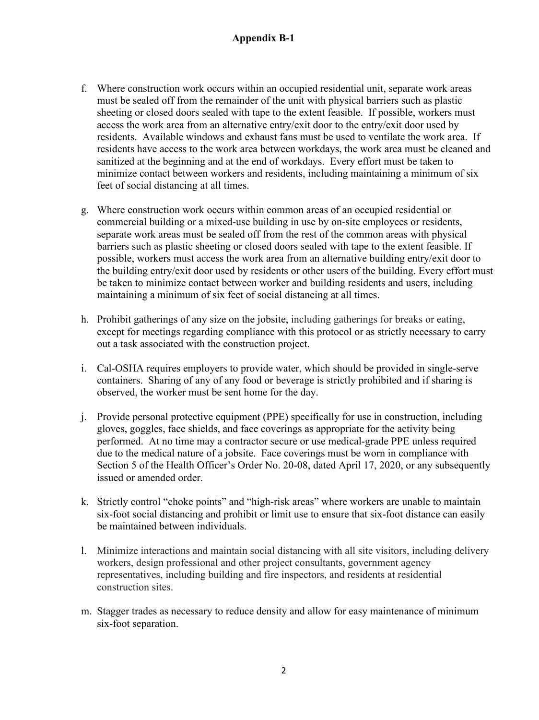- f. Where construction work occurs within an occupied residential unit, separate work areas must be sealed off from the remainder of the unit with physical barriers such as plastic sheeting or closed doors sealed with tape to the extent feasible. If possible, workers must access the work area from an alternative entry/exit door to the entry/exit door used by residents. Available windows and exhaust fans must be used to ventilate the work area. If residents have access to the work area between workdays, the work area must be cleaned and sanitized at the beginning and at the end of workdays. Every effort must be taken to minimize contact between workers and residents, including maintaining a minimum of six feet of social distancing at all times.
- g. Where construction work occurs within common areas of an occupied residential or commercial building or a mixed-use building in use by on-site employees or residents, separate work areas must be sealed off from the rest of the common areas with physical barriers such as plastic sheeting or closed doors sealed with tape to the extent feasible. If possible, workers must access the work area from an alternative building entry/exit door to the building entry/exit door used by residents or other users of the building. Every effort must be taken to minimize contact between worker and building residents and users, including maintaining a minimum of six feet of social distancing at all times.
- h. Prohibit gatherings of any size on the jobsite, including gatherings for breaks or eating, except for meetings regarding compliance with this protocol or as strictly necessary to carry out a task associated with the construction project.
- i. Cal-OSHA requires employers to provide water, which should be provided in single-serve containers. Sharing of any of any food or beverage is strictly prohibited and if sharing is observed, the worker must be sent home for the day.
- j. Provide personal protective equipment (PPE) specifically for use in construction, including gloves, goggles, face shields, and face coverings as appropriate for the activity being performed. At no time may a contractor secure or use medical-grade PPE unless required due to the medical nature of a jobsite. Face coverings must be worn in compliance with Section 5 of the Health Officer's Order No. 20-08, dated April 17, 2020, or any subsequently issued or amended order.
- k. Strictly control "choke points" and "high-risk areas" where workers are unable to maintain six-foot social distancing and prohibit or limit use to ensure that six-foot distance can easily be maintained between individuals.
- l. Minimize interactions and maintain social distancing with all site visitors, including delivery workers, design professional and other project consultants, government agency representatives, including building and fire inspectors, and residents at residential construction sites.
- m. Stagger trades as necessary to reduce density and allow for easy maintenance of minimum six-foot separation.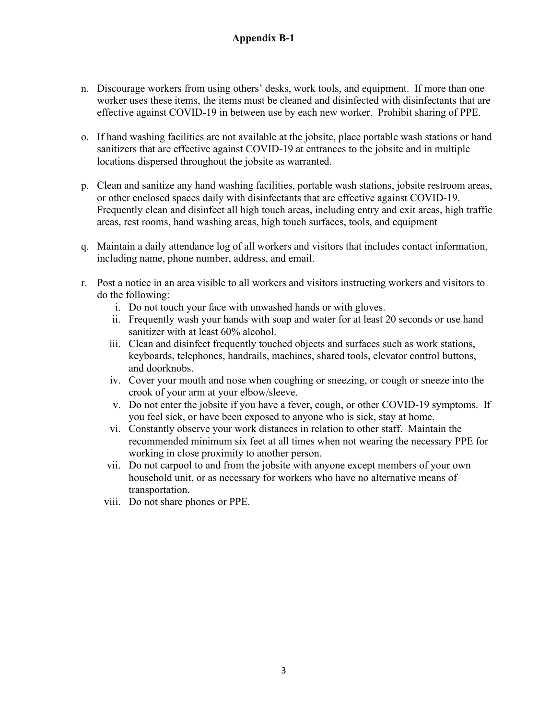- n. Discourage workers from using others' desks, work tools, and equipment. If more than one worker uses these items, the items must be cleaned and disinfected with disinfectants that are effective against COVID-19 in between use by each new worker. Prohibit sharing of PPE.
- o. If hand washing facilities are not available at the jobsite, place portable wash stations or hand sanitizers that are effective against COVID-19 at entrances to the jobsite and in multiple locations dispersed throughout the jobsite as warranted.
- p. Clean and sanitize any hand washing facilities, portable wash stations, jobsite restroom areas, or other enclosed spaces daily with disinfectants that are effective against COVID-19. Frequently clean and disinfect all high touch areas, including entry and exit areas, high traffic areas, rest rooms, hand washing areas, high touch surfaces, tools, and equipment
- q. Maintain a daily attendance log of all workers and visitors that includes contact information, including name, phone number, address, and email.
- r. Post a notice in an area visible to all workers and visitors instructing workers and visitors to do the following:
	- i. Do not touch your face with unwashed hands or with gloves.
	- ii. Frequently wash your hands with soap and water for at least 20 seconds or use hand sanitizer with at least 60% alcohol.
	- iii. Clean and disinfect frequently touched objects and surfaces such as work stations, keyboards, telephones, handrails, machines, shared tools, elevator control buttons, and doorknobs.
	- iv. Cover your mouth and nose when coughing or sneezing, or cough or sneeze into the crook of your arm at your elbow/sleeve.
	- v. Do not enter the jobsite if you have a fever, cough, or other COVID-19 symptoms. If you feel sick, or have been exposed to anyone who is sick, stay at home.
	- vi. Constantly observe your work distances in relation to other staff. Maintain the recommended minimum six feet at all times when not wearing the necessary PPE for working in close proximity to another person.
	- vii. Do not carpool to and from the jobsite with anyone except members of your own household unit, or as necessary for workers who have no alternative means of transportation.
	- viii. Do not share phones or PPE.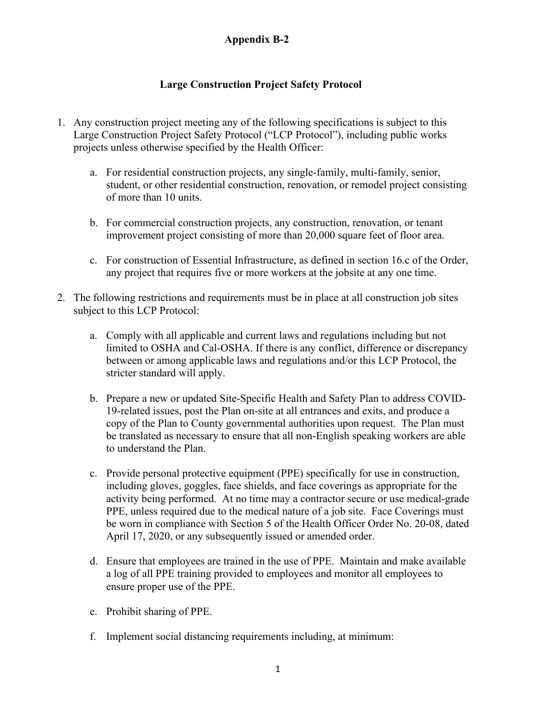### **Large Construction Project Safety Protocol**

- 1. Any construction project meeting any of the following specifications is subject to this Large Construction Project Safety Protocol ("LCP Protocol"), including public works projects unless otherwise specified by the Health Officer:
	- a. For residential construction projects, any single-family, multi-family, senior, student, or other residential construction, renovation, or remodel project consisting of more than 10 units.
	- b. For commercial construction projects, any construction, renovation, or tenant improvement project consisting of more than 20,000 square feet of floor area.
	- c. For construction of Essential Infrastructure, as defined in section 16.c of the Order, any project that requires five or more workers at the jobsite at any one time.
- 2. The following restrictions and requirements must be in place at all construction job sites subject to this LCP Protocol:
	- a. Comply with all applicable and current laws and regulations including but not limited to OSHA and Cal-OSHA. If there is any conflict, difference or discrepancy between or among applicable laws and regulations and/or this LCP Protocol, the stricter standard will apply.
	- b. Prepare a new or updated Site-Specific Health and Safety Plan to address COVID-19-related issues, post the Plan on-site at all entrances and exits, and produce a copy of the Plan to County governmental authorities upon request. The Plan must be translated as necessary to ensure that all non-English speaking workers are able to understand the Plan.
	- c. Provide personal protective equipment (PPE) specifically for use in construction, including gloves, goggles, face shields, and face coverings as appropriate for the activity being performed. At no time may a contractor secure or use medical-grade PPE, unless required due to the medical nature of a job site. Face Coverings must be worn in compliance with Section 5 of the Health Officer Order No. 20-08, dated April 17, 2020, or any subsequently issued or amended order.
	- d. Ensure that employees are trained in the use of PPE. Maintain and make available a log of all PPE training provided to employees and monitor all employees to ensure proper use of the PPE.
	- e. Prohibit sharing of PPE.
	- f. Implement social distancing requirements including, at minimum: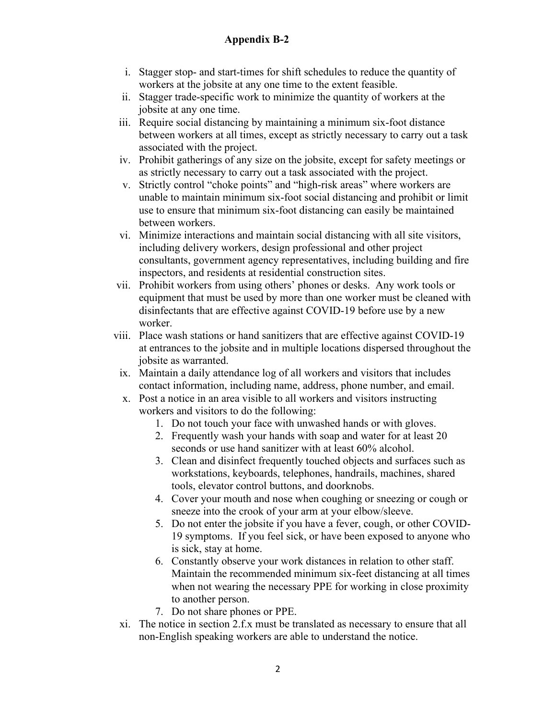- i. Stagger stop- and start-times for shift schedules to reduce the quantity of workers at the jobsite at any one time to the extent feasible.
- ii. Stagger trade-specific work to minimize the quantity of workers at the jobsite at any one time.
- iii. Require social distancing by maintaining a minimum six-foot distance between workers at all times, except as strictly necessary to carry out a task associated with the project.
- iv. Prohibit gatherings of any size on the jobsite, except for safety meetings or as strictly necessary to carry out a task associated with the project.
- v. Strictly control "choke points" and "high-risk areas" where workers are unable to maintain minimum six-foot social distancing and prohibit or limit use to ensure that minimum six-foot distancing can easily be maintained between workers.
- vi. Minimize interactions and maintain social distancing with all site visitors, including delivery workers, design professional and other project consultants, government agency representatives, including building and fire inspectors, and residents at residential construction sites.
- vii. Prohibit workers from using others' phones or desks. Any work tools or equipment that must be used by more than one worker must be cleaned with disinfectants that are effective against COVID-19 before use by a new worker.
- viii. Place wash stations or hand sanitizers that are effective against COVID-19 at entrances to the jobsite and in multiple locations dispersed throughout the jobsite as warranted.
	- ix. Maintain a daily attendance log of all workers and visitors that includes contact information, including name, address, phone number, and email.
	- x. Post a notice in an area visible to all workers and visitors instructing workers and visitors to do the following:
		- 1. Do not touch your face with unwashed hands or with gloves.
		- 2. Frequently wash your hands with soap and water for at least 20 seconds or use hand sanitizer with at least 60% alcohol.
		- 3. Clean and disinfect frequently touched objects and surfaces such as workstations, keyboards, telephones, handrails, machines, shared tools, elevator control buttons, and doorknobs.
		- 4. Cover your mouth and nose when coughing or sneezing or cough or sneeze into the crook of your arm at your elbow/sleeve.
		- 5. Do not enter the jobsite if you have a fever, cough, or other COVID-19 symptoms. If you feel sick, or have been exposed to anyone who is sick, stay at home.
		- 6. Constantly observe your work distances in relation to other staff. Maintain the recommended minimum six-feet distancing at all times when not wearing the necessary PPE for working in close proximity to another person.
		- 7. Do not share phones or PPE.
- xi. The notice in section 2.f.x must be translated as necessary to ensure that all non-English speaking workers are able to understand the notice.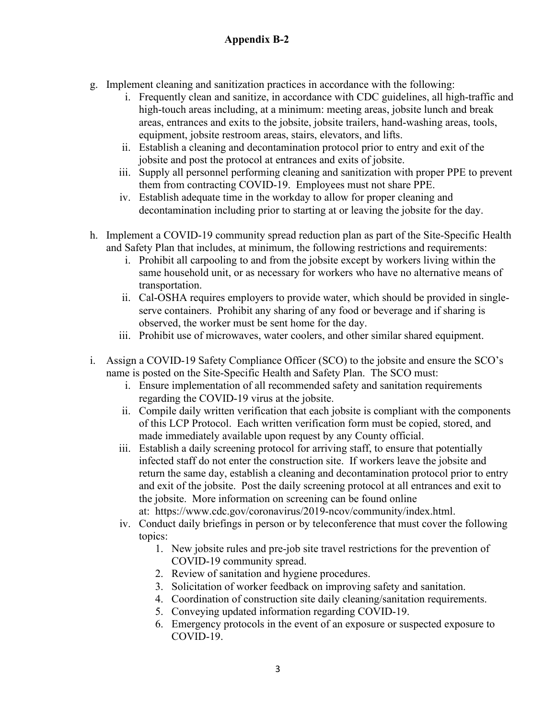- g. Implement cleaning and sanitization practices in accordance with the following:
	- i. Frequently clean and sanitize, in accordance with CDC guidelines, all high-traffic and high-touch areas including, at a minimum: meeting areas, jobsite lunch and break areas, entrances and exits to the jobsite, jobsite trailers, hand-washing areas, tools, equipment, jobsite restroom areas, stairs, elevators, and lifts.
	- ii. Establish a cleaning and decontamination protocol prior to entry and exit of the jobsite and post the protocol at entrances and exits of jobsite.
	- iii. Supply all personnel performing cleaning and sanitization with proper PPE to prevent them from contracting COVID-19. Employees must not share PPE.
	- iv. Establish adequate time in the workday to allow for proper cleaning and decontamination including prior to starting at or leaving the jobsite for the day.
- h. Implement a COVID-19 community spread reduction plan as part of the Site-Specific Health and Safety Plan that includes, at minimum, the following restrictions and requirements:
	- i. Prohibit all carpooling to and from the jobsite except by workers living within the same household unit, or as necessary for workers who have no alternative means of transportation.
	- ii. Cal-OSHA requires employers to provide water, which should be provided in singleserve containers. Prohibit any sharing of any food or beverage and if sharing is observed, the worker must be sent home for the day.
	- iii. Prohibit use of microwaves, water coolers, and other similar shared equipment.
- i. Assign a COVID-19 Safety Compliance Officer (SCO) to the jobsite and ensure the SCO's name is posted on the Site-Specific Health and Safety Plan. The SCO must:
	- i. Ensure implementation of all recommended safety and sanitation requirements regarding the COVID-19 virus at the jobsite.
	- ii. Compile daily written verification that each jobsite is compliant with the components of this LCP Protocol. Each written verification form must be copied, stored, and made immediately available upon request by any County official.
	- iii. Establish a daily screening protocol for arriving staff, to ensure that potentially infected staff do not enter the construction site. If workers leave the jobsite and return the same day, establish a cleaning and decontamination protocol prior to entry and exit of the jobsite. Post the daily screening protocol at all entrances and exit to the jobsite. More information on screening can be found online at: [https://www.cdc.gov/coronavirus/2019-ncov/community/index.html.](https://www.cdc.gov/coronavirus/2019-ncov/community/index.html)
	- iv. Conduct daily briefings in person or by teleconference that must cover the following topics:
		- 1. New jobsite rules and pre-job site travel restrictions for the prevention of COVID-19 community spread.
		- 2. Review of sanitation and hygiene procedures.
		- 3. Solicitation of worker feedback on improving safety and sanitation.
		- 4. Coordination of construction site daily cleaning/sanitation requirements.
		- 5. Conveying updated information regarding COVID-19.
		- 6. Emergency protocols in the event of an exposure or suspected exposure to COVID-19.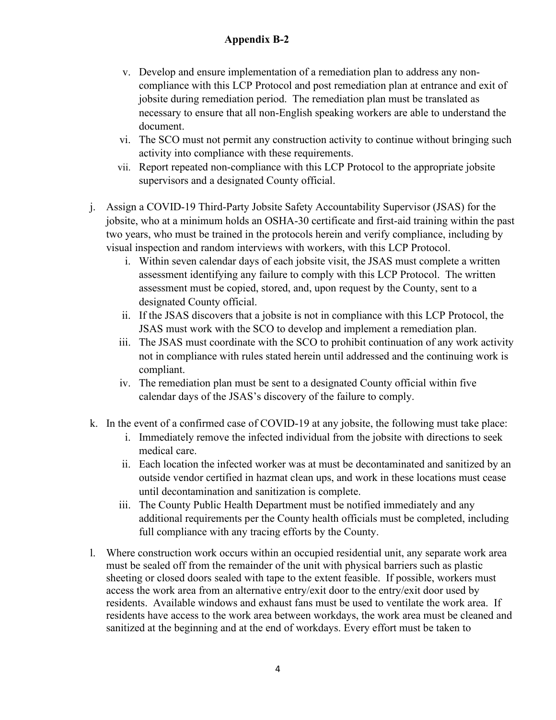- v. Develop and ensure implementation of a remediation plan to address any noncompliance with this LCP Protocol and post remediation plan at entrance and exit of jobsite during remediation period. The remediation plan must be translated as necessary to ensure that all non-English speaking workers are able to understand the document.
- vi. The SCO must not permit any construction activity to continue without bringing such activity into compliance with these requirements.
- vii. Report repeated non-compliance with this LCP Protocol to the appropriate jobsite supervisors and a designated County official.
- j. Assign a COVID-19 Third-Party Jobsite Safety Accountability Supervisor (JSAS) for the jobsite, who at a minimum holds an OSHA-30 certificate and first-aid training within the past two years, who must be trained in the protocols herein and verify compliance, including by visual inspection and random interviews with workers, with this LCP Protocol.
	- i. Within seven calendar days of each jobsite visit, the JSAS must complete a written assessment identifying any failure to comply with this LCP Protocol. The written assessment must be copied, stored, and, upon request by the County, sent to a designated County official.
	- ii. If the JSAS discovers that a jobsite is not in compliance with this LCP Protocol, the JSAS must work with the SCO to develop and implement a remediation plan.
	- iii. The JSAS must coordinate with the SCO to prohibit continuation of any work activity not in compliance with rules stated herein until addressed and the continuing work is compliant.
	- iv. The remediation plan must be sent to a designated County official within five calendar days of the JSAS's discovery of the failure to comply.
- k. In the event of a confirmed case of COVID-19 at any jobsite, the following must take place:
	- i. Immediately remove the infected individual from the jobsite with directions to seek medical care.
	- ii. Each location the infected worker was at must be decontaminated and sanitized by an outside vendor certified in hazmat clean ups, and work in these locations must cease until decontamination and sanitization is complete.
	- iii. The County Public Health Department must be notified immediately and any additional requirements per the County health officials must be completed, including full compliance with any tracing efforts by the County.
- l. Where construction work occurs within an occupied residential unit, any separate work area must be sealed off from the remainder of the unit with physical barriers such as plastic sheeting or closed doors sealed with tape to the extent feasible. If possible, workers must access the work area from an alternative entry/exit door to the entry/exit door used by residents. Available windows and exhaust fans must be used to ventilate the work area. If residents have access to the work area between workdays, the work area must be cleaned and sanitized at the beginning and at the end of workdays. Every effort must be taken to